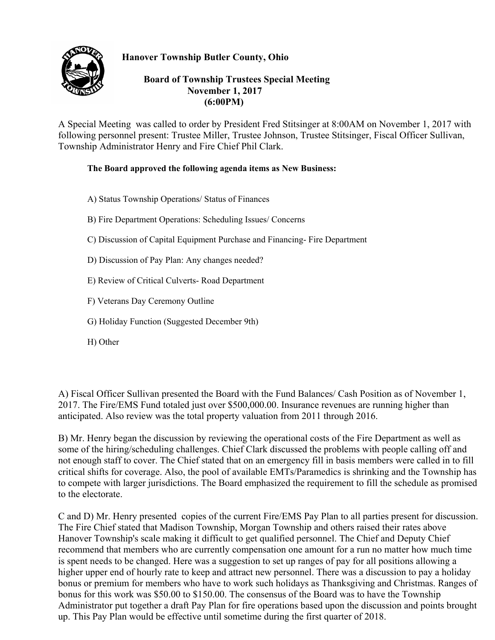## **Hanover Township Butler County, Ohio**



## **Board of Township Trustees Special Meeting November 1, 2017 (6:00PM)**

A Special Meeting was called to order by President Fred Stitsinger at 8:00AM on November 1, 2017 with following personnel present: Trustee Miller, Trustee Johnson, Trustee Stitsinger, Fiscal Officer Sullivan, Township Administrator Henry and Fire Chief Phil Clark.

## **The Board approved the following agenda items as New Business:**

- A) Status Township Operations/ Status of Finances
- B) Fire Department Operations: Scheduling Issues/ Concerns
- C) Discussion of Capital Equipment Purchase and Financing- Fire Department
- D) Discussion of Pay Plan: Any changes needed?
- E) Review of Critical Culverts- Road Department
- F) Veterans Day Ceremony Outline
- G) Holiday Function (Suggested December 9th)
- H) Other

A) Fiscal Officer Sullivan presented the Board with the Fund Balances/ Cash Position as of November 1, 2017. The Fire/EMS Fund totaled just over \$500,000.00. Insurance revenues are running higher than anticipated. Also review was the total property valuation from 2011 through 2016.

B) Mr. Henry began the discussion by reviewing the operational costs of the Fire Department as well as some of the hiring/scheduling challenges. Chief Clark discussed the problems with people calling off and not enough staff to cover. The Chief stated that on an emergency fill in basis members were called in to fill critical shifts for coverage. Also, the pool of available EMTs/Paramedics is shrinking and the Township has to compete with larger jurisdictions. The Board emphasized the requirement to fill the schedule as promised to the electorate.

C and D) Mr. Henry presented copies of the current Fire/EMS Pay Plan to all parties present for discussion. The Fire Chief stated that Madison Township, Morgan Township and others raised their rates above Hanover Township's scale making it difficult to get qualified personnel. The Chief and Deputy Chief recommend that members who are currently compensation one amount for a run no matter how much time is spent needs to be changed. Here was a suggestion to set up ranges of pay for all positions allowing a higher upper end of hourly rate to keep and attract new personnel. There was a discussion to pay a holiday bonus or premium for members who have to work such holidays as Thanksgiving and Christmas. Ranges of bonus for this work was \$50.00 to \$150.00. The consensus of the Board was to have the Township Administrator put together a draft Pay Plan for fire operations based upon the discussion and points brought up. This Pay Plan would be effective until sometime during the first quarter of 2018.